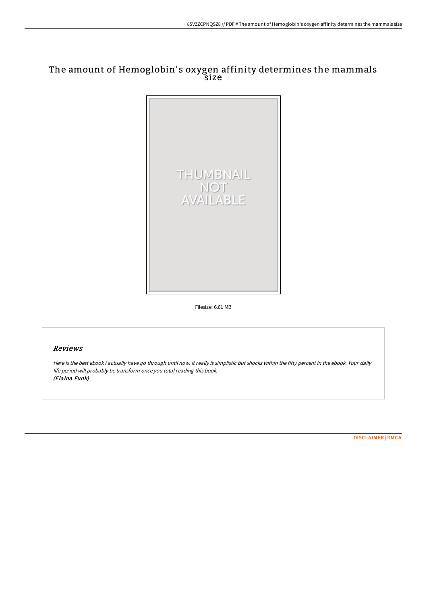## The amount of Hemoglobin' s oxygen affinity determines the mammals size



Filesize: 6.61 MB

## Reviews

Here is the best ebook i actually have go through until now. It really is simplistic but shocks within the fifty percent in the ebook. Your daily life period will probably be transform once you total reading this book. (Elaina Funk)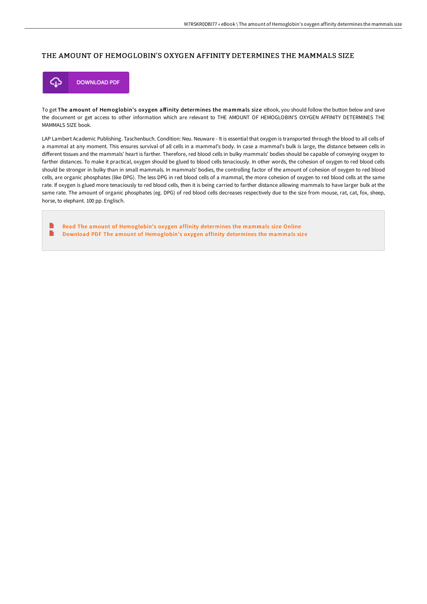## THE AMOUNT OF HEMOGLOBIN'S OXYGEN AFFINITY DETERMINES THE MAMMALS SIZE



To get The amount of Hemoglobin's oxygen affinity determines the mammals size eBook, you should follow the button below and save the document or get access to other information which are relevant to THE AMOUNT OF HEMOGLOBIN'S OXYGEN AFFINITY DETERMINES THE MAMMALS SIZE book.

LAP Lambert Academic Publishing. Taschenbuch. Condition: Neu. Neuware - It is essential that oxygen is transported through the blood to all cells of a mammal at any moment. This ensures survival of all cells in a mammal's body. In case a mammal's bulk is large, the distance between cells in different tissues and the mammals' heart is farther. Therefore, red blood cells in bulky mammals' bodies should be capable of conveying oxygen to farther distances. To make it practical, oxygen should be glued to blood cells tenaciously. In other words, the cohesion of oxygen to red blood cells should be stronger in bulky than in small mammals. In mammals' bodies, the controlling factor of the amount of cohesion of oxygen to red blood cells, are organic phosphates (like DPG). The less DPG in red blood cells of a mammal, the more cohesion of oxygen to red blood cells at the same rate. If oxygen is glued more tenaciously to red blood cells, then it is being carried to farther distance allowing mammals to have larger bulk at the same rate. The amount of organic phosphates (eg. DPG) of red blood cells decreases respectively due to the size from mouse, rat, cat, fox, sheep, horse, to elephant. 100 pp. Englisch.

Read The amount of [Hemoglobin's](http://bookera.tech/the-amount-of-hemoglobin-x27-s-oxygen-affinity-d.html) oxygen affinity determines the mammals size Online B Download PDF The amount of [Hemoglobin's](http://bookera.tech/the-amount-of-hemoglobin-x27-s-oxygen-affinity-d.html) oxygen affinity determines the mammals size